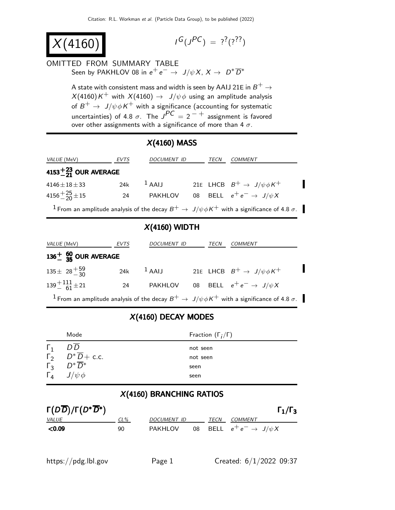$X(4160$ 

 $G(J^{PC}) = ?^{?}(?)^{?}$ 

#### OMITTED FROM SUMMARY TABLE Seen by PAKHLOV 08 in  $e^+e^- \rightarrow J/\psi X$ ,  $X \rightarrow D^* \overline{D}^*$

A state with consistent mass and width is seen by AAIJ 21E in  $B^+ \to$  $X(4160)K^+$  with  $X(4160)\rightarrow\;\; J/\psi\phi$  using an amplitude analysis of  $B^+ \rightarrow \, J/\psi \phi K^+$  with a significance (accounting for systematic uncertainties) of 4.8  $\sigma$ . The  $\overline{J}^{PC} = 2^{-+}$  assignment is favored over other assignments with a significance of more than 4  $\sigma$ .

# X(4160) MASS

| VALUE (MeV)                                                                                                          | <b>EVTS</b> | <b>DOCUMENT ID</b> |  | TECN | COMMENT                                    |  |
|----------------------------------------------------------------------------------------------------------------------|-------------|--------------------|--|------|--------------------------------------------|--|
| 4153 $^{+23}_{-21}$ OUR AVERAGE                                                                                      |             |                    |  |      |                                            |  |
| $4146 \pm 18 \pm 33$                                                                                                 | 24k         | $1$ AAIJ           |  |      | 21E LHCB $B^+ \rightarrow J/\psi \phi K^+$ |  |
| $4156 + \frac{25}{20} \pm 15$                                                                                        | 24          | PAKHLOV            |  |      | 08 BELL $e^+e^- \rightarrow J/\psi X$      |  |
| <sup>1</sup> From an amplitude analysis of the decay $B^+ \to J/\psi \phi K^+$ with a significance of 4.8 $\sigma$ . |             |                    |  |      |                                            |  |

### X(4160) WIDTH

| <i>VALUE</i> (MeV) |                               | EVTS          | DOCUMENT ID | TECN | <b>COMMENT</b>                                                                                                       |
|--------------------|-------------------------------|---------------|-------------|------|----------------------------------------------------------------------------------------------------------------------|
|                    | $136+_{35}$ OUR AVERAGE       |               |             |      |                                                                                                                      |
|                    | $135 \pm 28 + \frac{59}{30}$  | 24k $^1$ AAIJ |             |      | 21E LHCB $B^+ \rightarrow J/\psi \phi K^+$                                                                           |
|                    | $139 + {}^{111}_{-61} \pm 21$ | 24            |             |      | PAKHLOV 08 BELL $e^+e^- \rightarrow J/\psi X$                                                                        |
|                    |                               |               |             |      | <sup>1</sup> From an amplitude analysis of the decay $B^+ \to J/\psi \phi K^+$ with a significance of 4.8 $\sigma$ . |

# X(4160) DECAY MODES

|                    | Mode                                            | Fraction $(\Gamma_i/\Gamma)$ |
|--------------------|-------------------------------------------------|------------------------------|
| $\Gamma_1$         | D D                                             | not seen                     |
|                    | $\overline{\Gamma}_2$ $D^* \overline{D}$ + c.c. | not seen                     |
|                    | $\overline{\Gamma_3}$ $D^* \overline{D}{}^*$    | seen                         |
| $\Gamma_{\Lambda}$ | $J/\psi \phi$                                   | seen                         |

#### X(4160) BRANCHING RATIOS

| $\Gamma(D\overline{D})/\Gamma(D^*\overline{D}^*)$ |        |             |      | $\Gamma_1/\Gamma_3$                   |
|---------------------------------------------------|--------|-------------|------|---------------------------------------|
| <i>VALUE</i>                                      | $CL\%$ | DOCUMENT ID | TECN | COMMENT                               |
| $<$ 0.09                                          | 90     | PAKHLOV     |      | 08 BELL $e^+e^- \rightarrow J/\psi X$ |